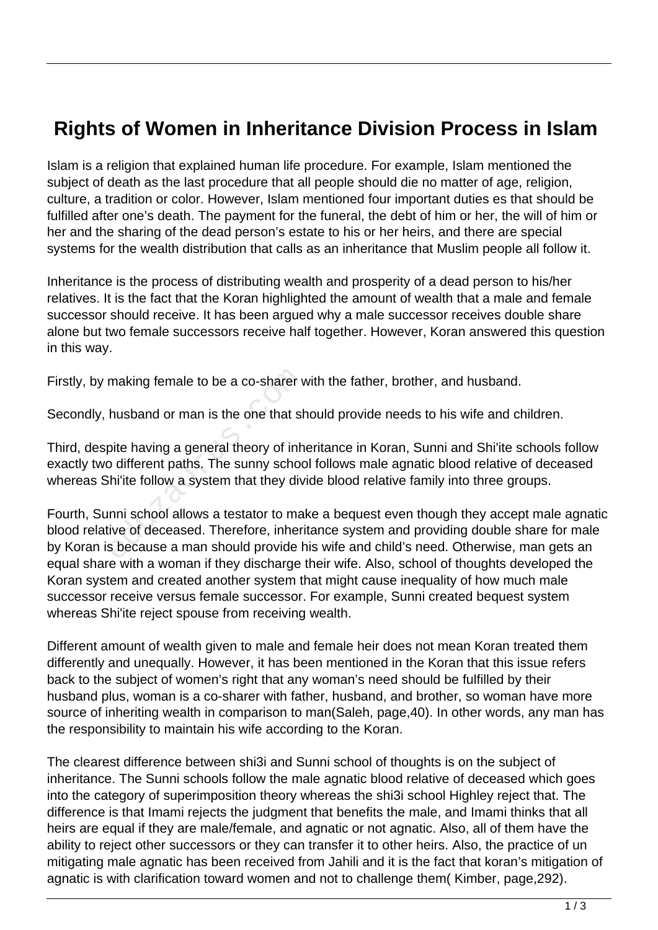## **Rights of Women in Inheritance Division Process in Islam**

Islam is a religion that explained human life procedure. For example, Islam mentioned the subject of death as the last procedure that all people should die no matter of age, religion, culture, a tradition or color. However, Islam mentioned four important duties es that should be fulfilled after one's death. The payment for the funeral, the debt of him or her, the will of him or her and the sharing of the dead person's estate to his or her heirs, and there are special systems for the wealth distribution that calls as an inheritance that Muslim people all follow it.

Inheritance is the process of distributing wealth and prosperity of a dead person to his/her relatives. It is the fact that the Koran highlighted the amount of wealth that a male and female successor should receive. It has been argued why a male successor receives double share alone but two female successors receive half together. However, Koran answered this question in this way.

Firstly, by making female to be a co-sharer with the father, brother, and husband.

Secondly, husband or man is the one that should provide needs to his wife and children.

Third, despite having a general theory of inheritance in Koran, Sunni and Shi'ite schools follow exactly two different paths. The sunny school follows male agnatic blood relative of deceased whereas Shi'ite follow a system that they divide blood relative family into three groups.

Fourth, Sunni school allows a testator to make a bequest even though they accept male agnatic blood relative of deceased. Therefore, inheritance system and providing double share for male by Koran is because a man should provide his wife and child's need. Otherwise, man gets an equal share with a woman if they discharge their wife. Also, school of thoughts developed the Koran system and created another system that might cause inequality of how much male successor receive versus female successor. For example, Sunni created bequest system whereas Shi'ite reject spouse from receiving wealth. making female to be a co-sharer v<br>husband or man is the one that sh<br>pite having a general theory of inh<br>po different paths. The sunny schoot<br>hi'ite follow a system that they div<br>nni school allows a testator to ma<br>ive of de

Different amount of wealth given to male and female heir does not mean Koran treated them differently and unequally. However, it has been mentioned in the Koran that this issue refers back to the subject of women's right that any woman's need should be fulfilled by their husband plus, woman is a co-sharer with father, husband, and brother, so woman have more source of inheriting wealth in comparison to man(Saleh, page,40). In other words, any man has the responsibility to maintain his wife according to the Koran.

The clearest difference between shi3i and Sunni school of thoughts is on the subject of inheritance. The Sunni schools follow the male agnatic blood relative of deceased which goes into the category of superimposition theory whereas the shi3i school Highley reject that. The difference is that Imami rejects the judgment that benefits the male, and Imami thinks that all heirs are equal if they are male/female, and agnatic or not agnatic. Also, all of them have the ability to reject other successors or they can transfer it to other heirs. Also, the practice of un mitigating male agnatic has been received from Jahili and it is the fact that koran's mitigation of agnatic is with clarification toward women and not to challenge them( Kimber, page,292).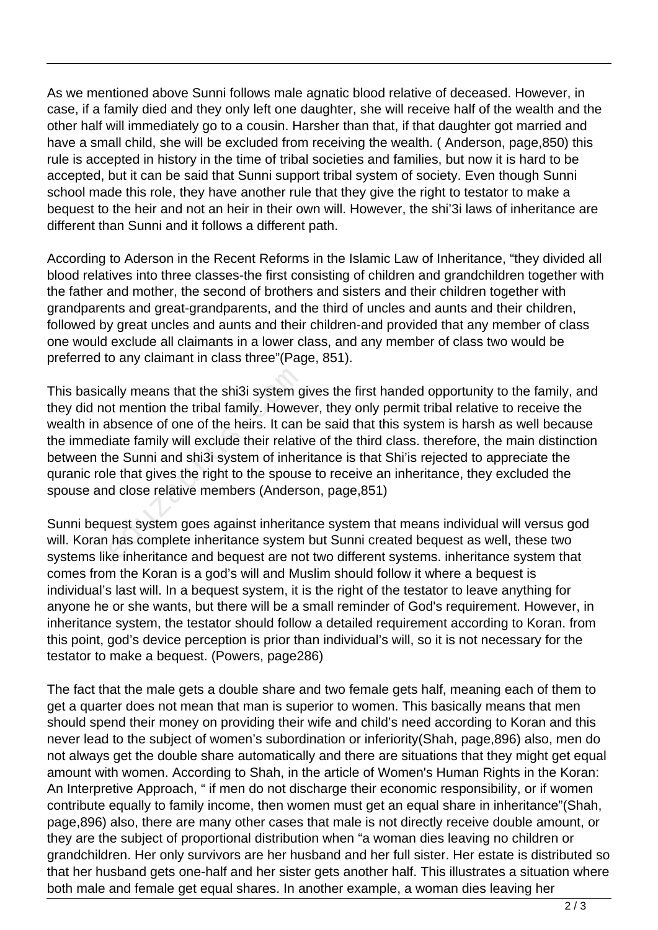As we mentioned above Sunni follows male agnatic blood relative of deceased. However, in case, if a family died and they only left one daughter, she will receive half of the wealth and the other half will immediately go to a cousin. Harsher than that, if that daughter got married and have a small child, she will be excluded from receiving the wealth. ( Anderson, page,850) this rule is accepted in history in the time of tribal societies and families, but now it is hard to be accepted, but it can be said that Sunni support tribal system of society. Even though Sunni school made this role, they have another rule that they give the right to testator to make a bequest to the heir and not an heir in their own will. However, the shi'3i laws of inheritance are different than Sunni and it follows a different path.

According to Aderson in the Recent Reforms in the Islamic Law of Inheritance, "they divided all blood relatives into three classes-the first consisting of children and grandchildren together with the father and mother, the second of brothers and sisters and their children together with grandparents and great-grandparents, and the third of uncles and aunts and their children, followed by great uncles and aunts and their children-and provided that any member of class one would exclude all claimants in a lower class, and any member of class two would be preferred to any claimant in class three"(Page, 851).

This basically means that the shi3i system gives the first handed opportunity to the family, and they did not mention the tribal family. However, they only permit tribal relative to receive the wealth in absence of one of the heirs. It can be said that this system is harsh as well because the immediate family will exclude their relative of the third class. therefore, the main distinction between the Sunni and shi3i system of inheritance is that Shi'is rejected to appreciate the quranic role that gives the right to the spouse to receive an inheritance, they excluded the spouse and close relative members (Anderson, page,851) ally means that the shi3i system g<br>ot mention the tribal family. Howev<br>bbsence of one of the heirs. It can<br>iate family will exclude their relativ<br>ne Sunni and shi3i system of inher<br>e that gives the right to the spouse<br>d cl

Sunni bequest system goes against inheritance system that means individual will versus god will. Koran has complete inheritance system but Sunni created bequest as well, these two systems like inheritance and bequest are not two different systems. inheritance system that comes from the Koran is a god's will and Muslim should follow it where a bequest is individual's last will. In a bequest system, it is the right of the testator to leave anything for anyone he or she wants, but there will be a small reminder of God's requirement. However, in inheritance system, the testator should follow a detailed requirement according to Koran. from this point, god's device perception is prior than individual's will, so it is not necessary for the testator to make a bequest. (Powers, page286)

The fact that the male gets a double share and two female gets half, meaning each of them to get a quarter does not mean that man is superior to women. This basically means that men should spend their money on providing their wife and child's need according to Koran and this never lead to the subject of women's subordination or inferiority(Shah, page,896) also, men do not always get the double share automatically and there are situations that they might get equal amount with women. According to Shah, in the article of Women's Human Rights in the Koran: An Interpretive Approach, " if men do not discharge their economic responsibility, or if women contribute equally to family income, then women must get an equal share in inheritance"(Shah, page,896) also, there are many other cases that male is not directly receive double amount, or they are the subject of proportional distribution when "a woman dies leaving no children or grandchildren. Her only survivors are her husband and her full sister. Her estate is distributed so that her husband gets one-half and her sister gets another half. This illustrates a situation where both male and female get equal shares. In another example, a woman dies leaving her